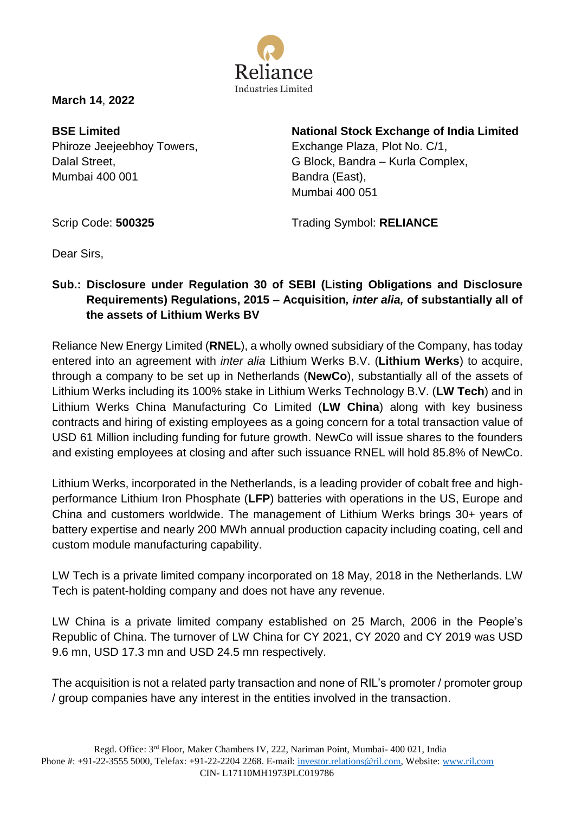

**March 14**, **2022**

**BSE Limited** Phiroze Jeejeebhoy Towers, Dalal Street, Mumbai 400 001

**National Stock Exchange of India Limited**

Exchange Plaza, Plot No. C/1, G Block, Bandra – Kurla Complex, Bandra (East), Mumbai 400 051

Scrip Code: **500325** 

Trading Symbol: **RELIANCE** 

Dear Sirs,

## **Sub.: Disclosure under Regulation 30 of SEBI (Listing Obligations and Disclosure Requirements) Regulations, 2015 – Acquisition***, inter alia,* **of substantially all of the assets of Lithium Werks BV**

Reliance New Energy Limited (**RNEL**), a wholly owned subsidiary of the Company, has today entered into an agreement with *inter alia* Lithium Werks B.V. (**Lithium Werks**) to acquire, through a company to be set up in Netherlands (**NewCo**), substantially all of the assets of Lithium Werks including its 100% stake in Lithium Werks Technology B.V. (**LW Tech**) and in Lithium Werks China Manufacturing Co Limited (**LW China**) along with key business contracts and hiring of existing employees as a going concern for a total transaction value of USD 61 Million including funding for future growth. NewCo will issue shares to the founders and existing employees at closing and after such issuance RNEL will hold 85.8% of NewCo.

Lithium Werks, incorporated in the Netherlands, is a leading provider of cobalt free and highperformance Lithium Iron Phosphate (**LFP**) batteries with operations in the US, Europe and China and customers worldwide. The management of Lithium Werks brings 30+ years of battery expertise and nearly 200 MWh annual production capacity including coating, cell and custom module manufacturing capability.

LW Tech is a private limited company incorporated on 18 May, 2018 in the Netherlands. LW Tech is patent-holding company and does not have any revenue.

LW China is a private limited company established on 25 March, 2006 in the People's Republic of China. The turnover of LW China for CY 2021, CY 2020 and CY 2019 was USD 9.6 mn, USD 17.3 mn and USD 24.5 mn respectively.

The acquisition is not a related party transaction and none of RIL's promoter / promoter group / group companies have any interest in the entities involved in the transaction.